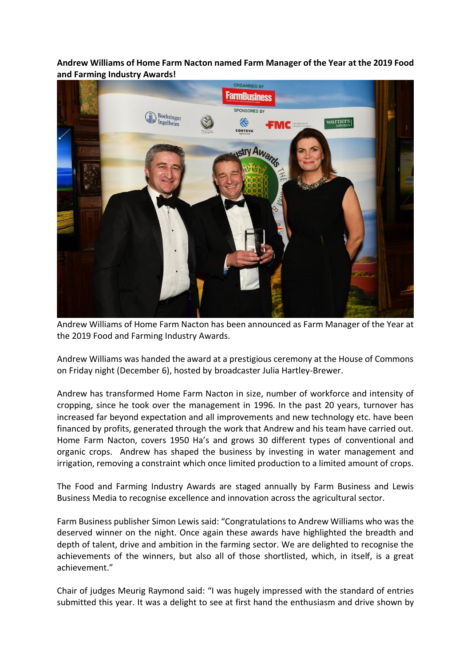**Andrew Williams of Home Farm Nacton named Farm Manager of the Year at the 2019 Food and Farming Industry Awards!**



Andrew Williams of Home Farm Nacton has been announced as Farm Manager of the Year at the 2019 Food and Farming Industry Awards.

Andrew Williams was handed the award at a prestigious ceremony at the House of Commons on Friday night (December 6), hosted by broadcaster Julia Hartley-Brewer.

Andrew has transformed Home Farm Nacton in size, number of workforce and intensity of cropping, since he took over the management in 1996. In the past 20 years, turnover has increased far beyond expectation and all improvements and new technology etc. have been financed by profits, generated through the work that Andrew and his team have carried out. Home Farm Nacton, covers 1950 Ha's and grows 30 different types of conventional and organic crops. Andrew has shaped the business by investing in water management and irrigation, removing a constraint which once limited production to a limited amount of crops.

The Food and Farming Industry Awards are staged annually by Farm Business and Lewis Business Media to recognise excellence and innovation across the agricultural sector.

Farm Business publisher Simon Lewis said: "Congratulations to Andrew Williams who was the deserved winner on the night. Once again these awards have highlighted the breadth and depth of talent, drive and ambition in the farming sector. We are delighted to recognise the achievements of the winners, but also all of those shortlisted, which, in itself, is a great achievement."

Chair of judges Meurig Raymond said: "I was hugely impressed with the standard of entries submitted this year. It was a delight to see at first hand the enthusiasm and drive shown by